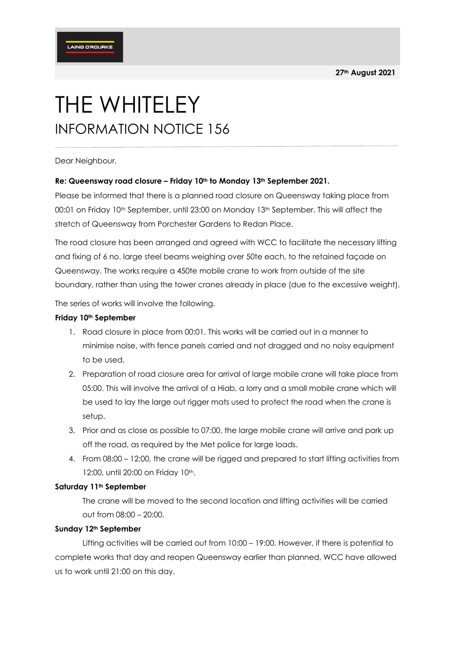# THE WHITELEY INFORMATION NOTICE 156

Dear Neighbour,

## **Re: Queensway road closure – Friday 10th to Monday 13th September 2021.**

Please be informed that there is a planned road closure on Queensway taking place from 00:01 on Friday 10th September, until 23:00 on Monday 13th September. This will affect the stretch of Queensway from Porchester Gardens to Redan Place.

The road closure has been arranged and agreed with WCC to facilitate the necessary lifting and fixing of 6 no. large steel beams weighing over 50te each, to the retained façade on Queensway. The works require a 450te mobile crane to work from outside of the site boundary, rather than using the tower cranes already in place (due to the excessive weight).

The series of works will involve the following.

### **Friday 10th September**

- 1. Road closure in place from 00:01. This works will be carried out in a manner to minimise noise, with fence panels carried and not dragged and no noisy equipment to be used.
- 2. Preparation of road closure area for arrival of large mobile crane will take place from 05:00. This will involve the arrival of a Hiab, a lorry and a small mobile crane which will be used to lay the large out rigger mats used to protect the road when the crane is setup.
- 3. Prior and as close as possible to 07:00, the large mobile crane will arrive and park up off the road, as required by the Met police for large loads.
- 4. From 08:00 12:00, the crane will be rigged and prepared to start lifting activities from 12:00, until 20:00 on Friday 10th.

## **Saturday 11th September**

The crane will be moved to the second location and lifting activities will be carried out from 08:00 – 20:00.

#### **Sunday 12th September**

Lifting activities will be carried out from 10:00 – 19:00. However, if there is potential to complete works that day and reopen Queensway earlier than planned, WCC have allowed us to work until 21:00 on this day.